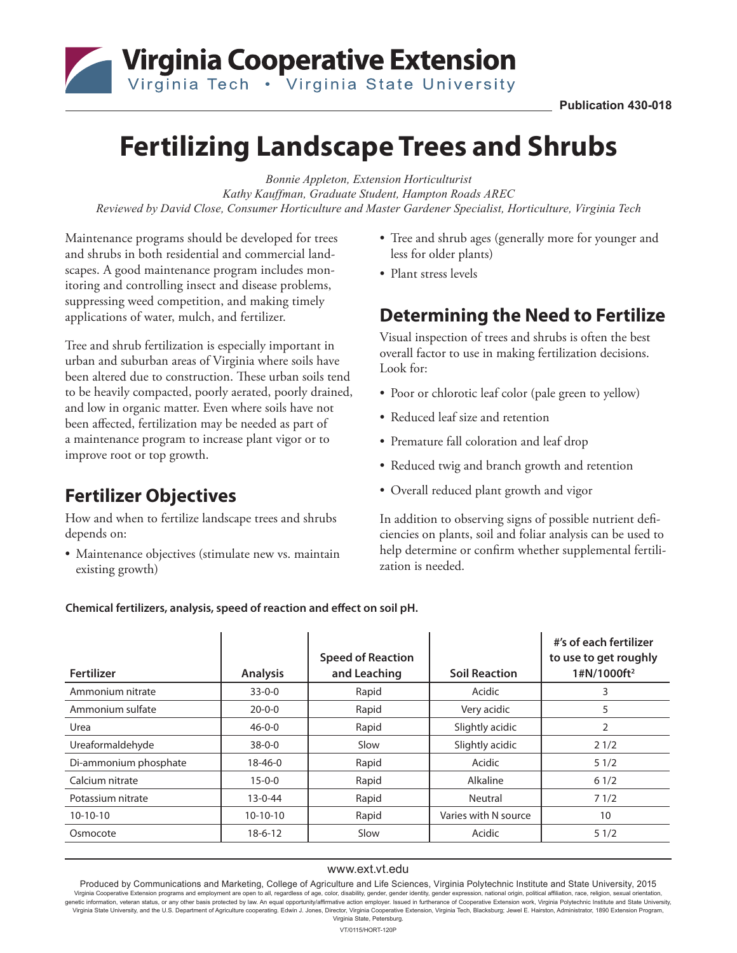## Virginia Cooperative Extension Virginia Tech . Virginia State University

# **Fertilizing Landscape Trees and Shrubs**

*Bonnie Appleton, Extension Horticulturist Kathy Kauffman, Graduate Student, Hampton Roads AREC Reviewed by David Close, Consumer Horticulture and Master Gardener Specialist, Horticulture, Virginia Tech*

Maintenance programs should be developed for trees and shrubs in both residential and commercial landscapes. A good maintenance program includes monitoring and controlling insect and disease problems, suppressing weed competition, and making timely applications of water, mulch, and fertilizer.

Tree and shrub fertilization is especially important in urban and suburban areas of Virginia where soils have been altered due to construction. These urban soils tend to be heavily compacted, poorly aerated, poorly drained, and low in organic matter. Even where soils have not been affected, fertilization may be needed as part of a maintenance program to increase plant vigor or to improve root or top growth.

#### **Fertilizer Objectives**

How and when to fertilize landscape trees and shrubs depends on:

• Maintenance objectives (stimulate new vs. maintain existing growth)

- Tree and shrub ages (generally more for younger and less for older plants)
- Plant stress levels

#### **Determining the Need to Fertilize**

Visual inspection of trees and shrubs is often the best overall factor to use in making fertilization decisions. Look for:

- Poor or chlorotic leaf color (pale green to yellow)
- Reduced leaf size and retention
- Premature fall coloration and leaf drop
- Reduced twig and branch growth and retention
- Overall reduced plant growth and vigor

In addition to observing signs of possible nutrient deficiencies on plants, soil and foliar analysis can be used to help determine or confirm whether supplemental fertilization is needed.

**Chemical fertilizers, analysis, speed of reaction and effect on soil pH.**

| <b>Fertilizer</b>     | <b>Analysis</b> | <b>Speed of Reaction</b><br>and Leaching | <b>Soil Reaction</b> | #'s of each fertilizer<br>to use to get roughly<br>1#N/1000ft <sup>2</sup> |
|-----------------------|-----------------|------------------------------------------|----------------------|----------------------------------------------------------------------------|
| Ammonium nitrate      | $33 - 0 - 0$    | Rapid                                    | Acidic               | 3                                                                          |
| Ammonium sulfate      | $20 - 0 - 0$    | Rapid                                    | Very acidic          | 5                                                                          |
| Urea                  | $46 - 0 - 0$    | Rapid                                    | Slightly acidic      | 2                                                                          |
| Ureaformaldehyde      | $38 - 0 - 0$    | Slow                                     | Slightly acidic      | 21/2                                                                       |
| Di-ammonium phosphate | $18 - 46 - 0$   | Rapid                                    | Acidic               | 51/2                                                                       |
| Calcium nitrate       | $15 - 0 - 0$    | Rapid                                    | Alkaline             | 61/2                                                                       |
| Potassium nitrate     | $13 - 0 - 44$   | Rapid                                    | Neutral              | 71/2                                                                       |
| $10-10-10$            | $10-10-10$      | Rapid                                    | Varies with N source | 10                                                                         |
| Osmocote              | $18-6-12$       | Slow                                     | Acidic               | 51/2                                                                       |

#### www.ext.vt.edu

Produced by Communications and Marketing, College of Agriculture and Life Sciences, Virginia Polytechnic Institute and State University, 2015 Virginia Cooperative Extension programs and employment are open to all, regardless of age, color, disability, gender, gender identity, gender expression, national origin, political affiliation, race, religion, sexual orien genetic information, veteran status, or any other basis protected by law. An equal opportunity/affirmative action employer. Issued in furtherance of Cooperative Extension work, Virginia Polytechnic Institute and State Univ Virginia State University, and the U.S. Department of Agriculture cooperating. Edwin J. Jones, Director, Virginia Cooperative Extension, Virginia Tech, Blacksburg; Jewel E. Hairston, Administrator, 1890 Extension Program, Virginia State, Petersburg. VT/0115/HORT-120P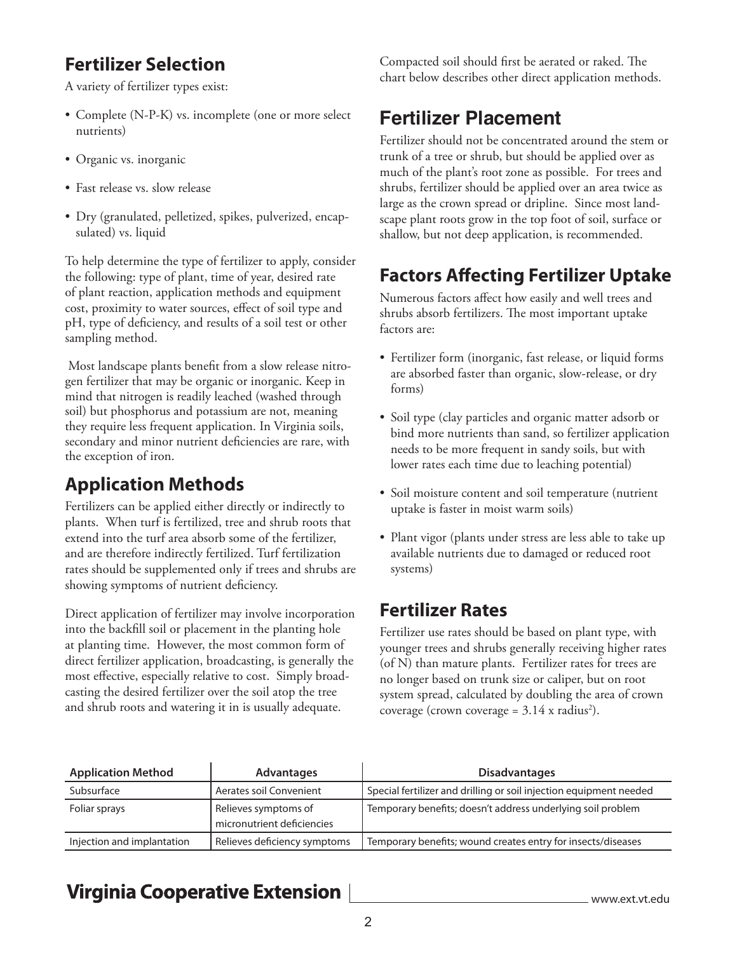## **Fertilizer Selection**

A variety of fertilizer types exist:

- Complete (N-P-K) vs. incomplete (one or more select nutrients)
- Organic vs. inorganic
- Fast release vs. slow release
- Dry (granulated, pelletized, spikes, pulverized, encapsulated) vs. liquid

To help determine the type of fertilizer to apply, consider the following: type of plant, time of year, desired rate of plant reaction, application methods and equipment cost, proximity to water sources, effect of soil type and pH, type of deficiency, and results of a soil test or other sampling method.

 Most landscape plants benefit from a slow release nitrogen fertilizer that may be organic or inorganic. Keep in mind that nitrogen is readily leached (washed through soil) but phosphorus and potassium are not, meaning they require less frequent application. In Virginia soils, secondary and minor nutrient deficiencies are rare, with the exception of iron.

## **Application Methods**

Fertilizers can be applied either directly or indirectly to plants. When turf is fertilized, tree and shrub roots that extend into the turf area absorb some of the fertilizer, and are therefore indirectly fertilized. Turf fertilization rates should be supplemented only if trees and shrubs are showing symptoms of nutrient deficiency.

Direct application of fertilizer may involve incorporation into the backfill soil or placement in the planting hole at planting time. However, the most common form of direct fertilizer application, broadcasting, is generally the most effective, especially relative to cost. Simply broadcasting the desired fertilizer over the soil atop the tree and shrub roots and watering it in is usually adequate.

Compacted soil should first be aerated or raked. The chart below describes other direct application methods.

## **Fertilizer Placement**

Fertilizer should not be concentrated around the stem or trunk of a tree or shrub, but should be applied over as much of the plant's root zone as possible. For trees and shrubs, fertilizer should be applied over an area twice as large as the crown spread or dripline. Since most landscape plant roots grow in the top foot of soil, surface or shallow, but not deep application, is recommended.

## **Factors Affecting Fertilizer Uptake**

Numerous factors affect how easily and well trees and shrubs absorb fertilizers. The most important uptake factors are:

- Fertilizer form (inorganic, fast release, or liquid forms are absorbed faster than organic, slow-release, or dry forms)
- Soil type (clay particles and organic matter adsorb or bind more nutrients than sand, so fertilizer application needs to be more frequent in sandy soils, but with lower rates each time due to leaching potential)
- Soil moisture content and soil temperature (nutrient uptake is faster in moist warm soils)
- Plant vigor (plants under stress are less able to take up available nutrients due to damaged or reduced root systems)

## **Fertilizer Rates**

Fertilizer use rates should be based on plant type, with younger trees and shrubs generally receiving higher rates (of N) than mature plants. Fertilizer rates for trees are no longer based on trunk size or caliper, but on root system spread, calculated by doubling the area of crown coverage (crown coverage =  $3.14$  x radius<sup>2</sup>).

| <b>Application Method</b>  | <b>Advantages</b>                                  | <b>Disadvantages</b>                                               |
|----------------------------|----------------------------------------------------|--------------------------------------------------------------------|
| Subsurface                 | Aerates soil Convenient                            | Special fertilizer and drilling or soil injection equipment needed |
| Foliar sprays              | Relieves symptoms of<br>micronutrient deficiencies | Temporary benefits; doesn't address underlying soil problem        |
| Injection and implantation | Relieves deficiency symptoms                       | Temporary benefits; wound creates entry for insects/diseases       |

## **Virginia Cooperative Extension**